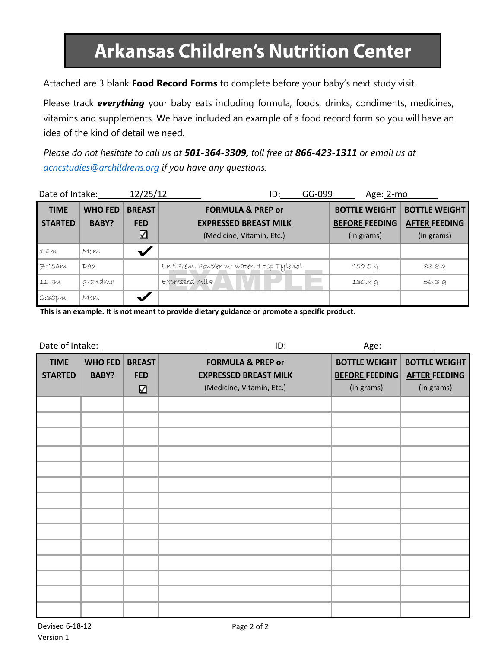## **Arkansas Children's Nutrition Center**

Attached are 3 blank **Food Record Forms** to complete before your baby's next study visit.

Please track *everything* your baby eats including formula, foods, drinks, condiments, medicines, vitamins and supplements. We have included an example of a food record form so you will have an idea of the kind of detail we need.

*Please do not hesitate to call us at 501-364-3309, toll free at 866-423-1311 or email us at [acncstudies@archildrens.org](mailto:acncstudies@archildrens.org) if you have any questions.*

| Date of Intake:               |                         | 12/25/12                         | GG-099<br>Age: 2-mo<br>ID:                                                                |                                                             |                                                            |
|-------------------------------|-------------------------|----------------------------------|-------------------------------------------------------------------------------------------|-------------------------------------------------------------|------------------------------------------------------------|
| <b>TIME</b><br><b>STARTED</b> | <b>WHO FED</b><br>BABY? | <b>BREAST</b><br><b>FED</b><br>☑ | <b>FORMULA &amp; PREP or</b><br><b>EXPRESSED BREAST MILK</b><br>(Medicine, Vitamin, Etc.) | <b>BOTTLE WEIGHT</b><br><b>BEFORE FEEDING</b><br>(in grams) | <b>BOTTLE WEIGHT</b><br><b>AFTER FEEDING</b><br>(in grams) |
| $1$ am                        | Mom                     |                                  |                                                                                           |                                                             |                                                            |
| 7:15am                        | Dad                     |                                  | Enf.Prem. Powder w/water, 1 tsp Tylenol                                                   | 150.5 g                                                     | 33.89                                                      |
| 11 am                         | grandma                 |                                  | Expressed milk                                                                            | 130.89                                                      | 56.39                                                      |
| 2:30 <sub>pm</sub>            | Mom                     |                                  |                                                                                           |                                                             |                                                            |

**This is an example. It is not meant to provide dietary guidance or promote a specific product.**

| <b>TIME</b><br><b>STARTED</b> | <b>WHO FED</b><br><b>BABY?</b> | <b>BREAST</b><br><b>FED</b><br>☑ | <b>FORMULA &amp; PREP or</b><br><b>EXPRESSED BREAST MILK</b><br>(Medicine, Vitamin, Etc.) | <b>BOTTLE WEIGHT</b><br><b>BEFORE FEEDING</b><br>(in grams) | <b>BOTTLE WEIGHT</b><br><b>AFTER FEEDING</b><br>(in grams) |
|-------------------------------|--------------------------------|----------------------------------|-------------------------------------------------------------------------------------------|-------------------------------------------------------------|------------------------------------------------------------|
|                               |                                |                                  |                                                                                           |                                                             |                                                            |
|                               |                                |                                  |                                                                                           |                                                             |                                                            |
|                               |                                |                                  |                                                                                           |                                                             |                                                            |
|                               |                                |                                  |                                                                                           |                                                             |                                                            |
|                               |                                |                                  |                                                                                           |                                                             |                                                            |
|                               |                                |                                  |                                                                                           |                                                             |                                                            |
|                               |                                |                                  |                                                                                           |                                                             |                                                            |
|                               |                                |                                  |                                                                                           |                                                             |                                                            |
|                               |                                |                                  |                                                                                           |                                                             |                                                            |
|                               |                                |                                  |                                                                                           |                                                             |                                                            |
|                               |                                |                                  |                                                                                           |                                                             |                                                            |
|                               |                                |                                  |                                                                                           |                                                             |                                                            |
|                               |                                |                                  |                                                                                           |                                                             |                                                            |
|                               |                                |                                  |                                                                                           |                                                             |                                                            |